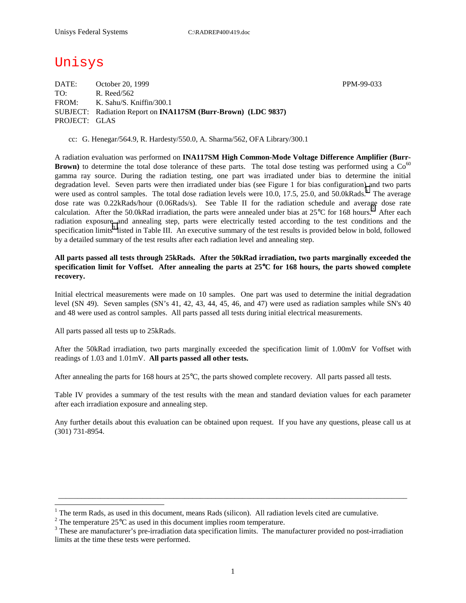# Unisys

DATE: October 20, 1999 PPM-99-033 TO: R. Reed/562 FROM: K. Sahu/S. Kniffin/300.1 SUBJECT: Radiation Report on **INA117SM (Burr-Brown) (LDC 9837)** PROJECT: GLAS

cc: G. Henegar/564.9, R. Hardesty/550.0, A. Sharma/562, OFA Library/300.1

A radiation evaluation was performed on **INA117SM High Common-Mode Voltage Difference Amplifier (Burr-Brown)** to determine the total dose tolerance of these parts. The total dose testing was performed using a  $Co<sup>60</sup>$ gamma ray source. During the radiation testing, one part was irradiated under bias to determine the initial degradation level. Seven parts were then irradiated under bias (see Figure 1 for bias configuration) and two parts were used as control samples. The total dose radiation levels were 10.0, 17.5, 25.0, and 50.0kRads.<sup>1</sup> The average dose rate was 0.22kRads/hour (0.06Rads/s). See Table II for the radiation schedule and average dose rate calculation. After the 50.0kRad irradiation, the parts were annealed under bias at  $25^{\circ}$ C for 168 hours.<sup>2</sup> After each radiation exposure and annealing step, parts were electrically tested according to the test conditions and the specification limits<sup>3</sup> listed in Table III. An executive summary of the test results is provided below in bold, followed by a detailed summary of the test results after each radiation level and annealing step.

### **All parts passed all tests through 25kRads. After the 50kRad irradiation, two parts marginally exceeded the specification limit for Voffset. After annealing the parts at 25**°**C for 168 hours, the parts showed complete recovery.**

Initial electrical measurements were made on 10 samples. One part was used to determine the initial degradation level (SN 49). Seven samples (SN's 41, 42, 43, 44, 45, 46, and 47) were used as radiation samples while SN's 40 and 48 were used as control samples. All parts passed all tests during initial electrical measurements.

All parts passed all tests up to 25kRads.

 $\overline{a}$ 

After the 50kRad irradiation, two parts marginally exceeded the specification limit of 1.00mV for Voffset with readings of 1.03 and 1.01mV. **All parts passed all other tests.**

After annealing the parts for 168 hours at 25°C, the parts showed complete recovery. All parts passed all tests.

Table IV provides a summary of the test results with the mean and standard deviation values for each parameter after each irradiation exposure and annealing step.

Any further details about this evaluation can be obtained upon request. If you have any questions, please call us at (301) 731-8954.

\_\_\_\_\_\_\_\_\_\_\_\_\_\_\_\_\_\_\_\_\_\_\_\_\_\_\_\_\_\_\_\_\_\_\_\_\_\_\_\_\_\_\_\_\_\_\_\_\_\_\_\_\_\_\_\_\_\_\_\_\_\_\_\_\_\_\_\_\_\_\_\_\_\_\_\_\_\_\_\_\_\_\_\_\_\_\_\_\_\_\_

<sup>&</sup>lt;sup>1</sup> The term Rads, as used in this document, means Rads (silicon). All radiation levels cited are cumulative.

<sup>&</sup>lt;sup>2</sup> The temperature 25 $^{\circ}$ C as used in this document implies room temperature.  $^3$  These are manufacturer's are irrediction date apositionism limits. The manufacturer's

<sup>&</sup>lt;sup>3</sup> These are manufacturer's pre-irradiation data specification limits. The manufacturer provided no post-irradiation limits at the time these tests were performed.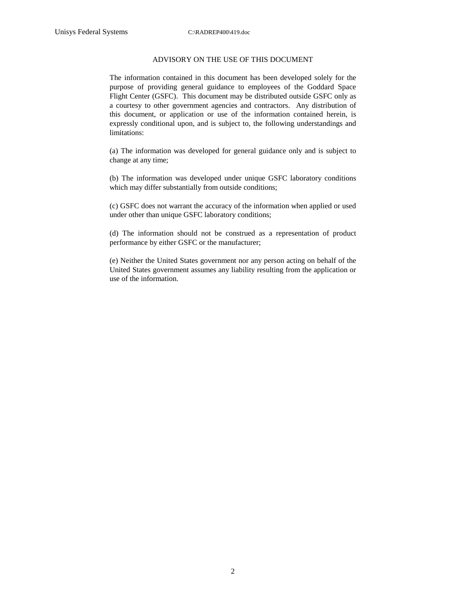#### ADVISORY ON THE USE OF THIS DOCUMENT

The information contained in this document has been developed solely for the purpose of providing general guidance to employees of the Goddard Space Flight Center (GSFC). This document may be distributed outside GSFC only as a courtesy to other government agencies and contractors. Any distribution of this document, or application or use of the information contained herein, is expressly conditional upon, and is subject to, the following understandings and limitations:

(a) The information was developed for general guidance only and is subject to change at any time;

(b) The information was developed under unique GSFC laboratory conditions which may differ substantially from outside conditions;

(c) GSFC does not warrant the accuracy of the information when applied or used under other than unique GSFC laboratory conditions;

(d) The information should not be construed as a representation of product performance by either GSFC or the manufacturer;

(e) Neither the United States government nor any person acting on behalf of the United States government assumes any liability resulting from the application or use of the information.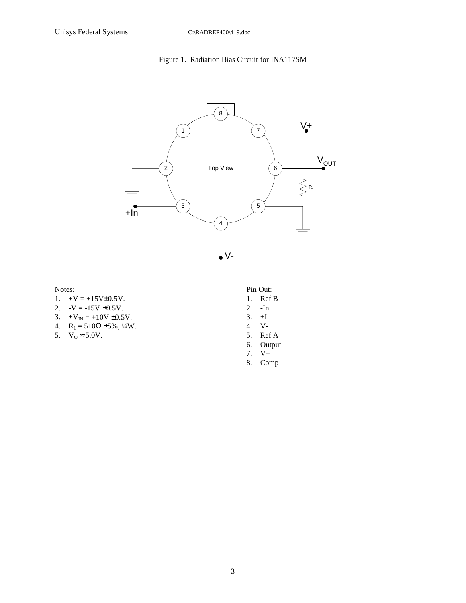### Figure 1. Radiation Bias Circuit for INA117SM



Notes:

- 1.  $+V = +15V \pm 0.5V$ .
- 2.  $-V = -15V \pm 0.5V$ .
- 3.  $+V_{IN} = +10V \pm 0.5V$ .
- 4.  $R_1 = 510\Omega \pm 5\%, \frac{1}{4}W$ .
- 5.  $V_0 \approx 5.0V$ .
- Pin Out:
- 1. Ref B
- 2. -In
- $3. +In$
- 4. V-
- 5. Ref A
- 6. Output
- 7. V+ 8. Comp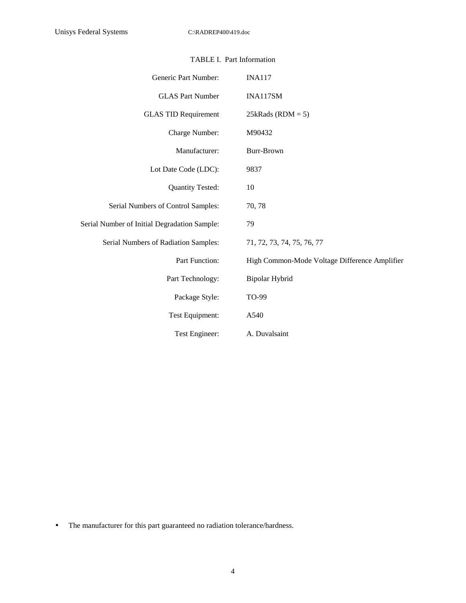| Generic Part Number:                         | <b>INA117</b>                                 |
|----------------------------------------------|-----------------------------------------------|
| <b>GLAS Part Number</b>                      | INA117SM                                      |
| <b>GLAS TID Requirement</b>                  | $25kRads (RDM = 5)$                           |
| Charge Number:                               | M90432                                        |
| Manufacturer:                                | Burr-Brown                                    |
| Lot Date Code (LDC):                         | 9837                                          |
| <b>Quantity Tested:</b>                      | 10                                            |
| Serial Numbers of Control Samples:           | 70, 78                                        |
| Serial Number of Initial Degradation Sample: | 79                                            |
| Serial Numbers of Radiation Samples:         | 71, 72, 73, 74, 75, 76, 77                    |
| Part Function:                               | High Common-Mode Voltage Difference Amplifier |
| Part Technology:                             | Bipolar Hybrid                                |
| Package Style:                               | TO-99                                         |
| Test Equipment:                              | A540                                          |
| Test Engineer:                               | A. Duvalsaint                                 |

• The manufacturer for this part guaranteed no radiation tolerance/hardness.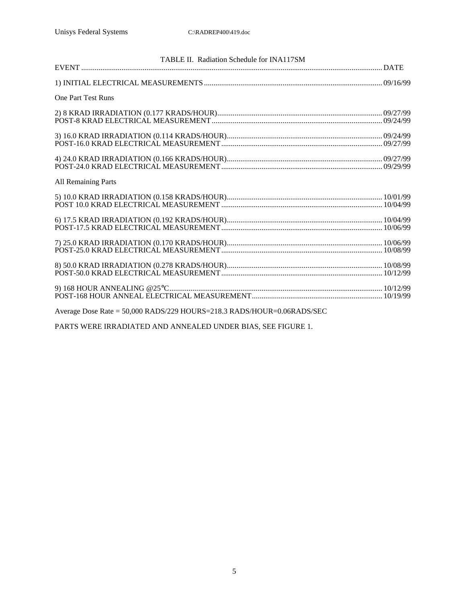| TABLE II. Radiation Schedule for INA117SM                              |  |  |  |  |  |  |  |  |
|------------------------------------------------------------------------|--|--|--|--|--|--|--|--|
|                                                                        |  |  |  |  |  |  |  |  |
|                                                                        |  |  |  |  |  |  |  |  |
| <b>One Part Test Runs</b>                                              |  |  |  |  |  |  |  |  |
|                                                                        |  |  |  |  |  |  |  |  |
|                                                                        |  |  |  |  |  |  |  |  |
|                                                                        |  |  |  |  |  |  |  |  |
|                                                                        |  |  |  |  |  |  |  |  |
|                                                                        |  |  |  |  |  |  |  |  |
|                                                                        |  |  |  |  |  |  |  |  |
|                                                                        |  |  |  |  |  |  |  |  |
| <b>All Remaining Parts</b>                                             |  |  |  |  |  |  |  |  |
|                                                                        |  |  |  |  |  |  |  |  |
|                                                                        |  |  |  |  |  |  |  |  |
|                                                                        |  |  |  |  |  |  |  |  |
|                                                                        |  |  |  |  |  |  |  |  |
|                                                                        |  |  |  |  |  |  |  |  |
|                                                                        |  |  |  |  |  |  |  |  |
|                                                                        |  |  |  |  |  |  |  |  |
|                                                                        |  |  |  |  |  |  |  |  |
|                                                                        |  |  |  |  |  |  |  |  |
|                                                                        |  |  |  |  |  |  |  |  |
|                                                                        |  |  |  |  |  |  |  |  |
|                                                                        |  |  |  |  |  |  |  |  |
|                                                                        |  |  |  |  |  |  |  |  |
| Average Dose Rate = 50,000 RADS/229 HOURS=218.3 RADS/HOUR=0.06RADS/SEC |  |  |  |  |  |  |  |  |
|                                                                        |  |  |  |  |  |  |  |  |

PARTS WERE IRRADIATED AND ANNEALED UNDER BIAS, SEE FIGURE 1.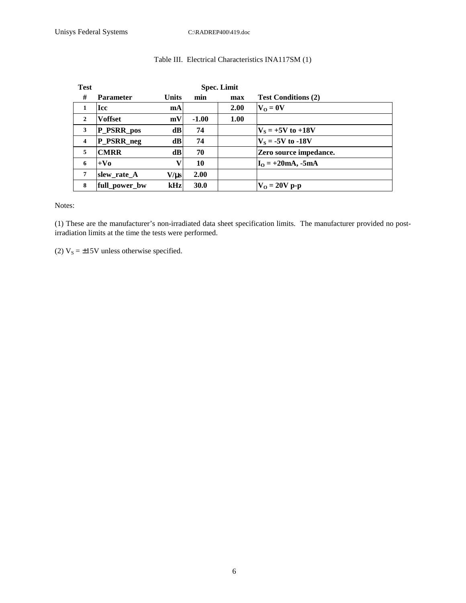| <b>Test</b>             |                  |              | <b>Spec. Limit</b> |      |                            |
|-------------------------|------------------|--------------|--------------------|------|----------------------------|
| #                       | <b>Parameter</b> | <b>Units</b> | min                | max  | <b>Test Conditions (2)</b> |
| 1                       | <b>Icc</b>       | <b>mA</b>    |                    | 2.00 | $V_0 = 0V$                 |
| $\overline{2}$          | <b>Voffset</b>   | mV           | $-1.00$            | 1.00 |                            |
| 3                       | P_PSRR_pos       | dB           | 74                 |      | $ V_s = +5V$ to $+18V$     |
| $\overline{\mathbf{4}}$ | P_PSRR_neg       | dB           | 74                 |      | $V_s = -5V$ to $-18V$      |
| 5                       | <b>CMRR</b>      | dB           | 70                 |      | Zero source impedance.     |
| 6                       | $+V_0$           | v            | 10                 |      | $IO = +20mA, -5mA$         |
| $\overline{7}$          | slew_rate_A      | $V/\mu s$    | 2.00               |      |                            |
| 8                       | full_power_bw    | $\bf kHz$    | <b>30.0</b>        |      | $V_0 = 20V$ p-p            |

## Table III. Electrical Characteristics INA117SM (1)

Notes:

(1) These are the manufacturer's non-irradiated data sheet specification limits. The manufacturer provided no postirradiation limits at the time the tests were performed.

(2)  $V_s = \pm 15V$  unless otherwise specified.